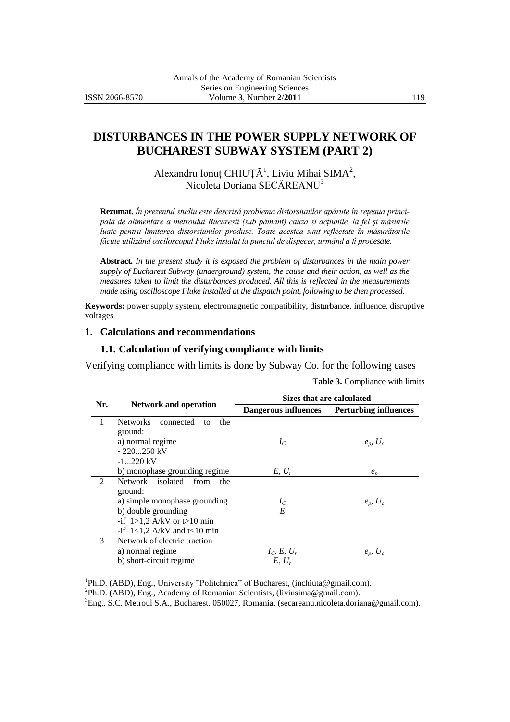$\overline{a}$ 

# **DISTURBANCES IN THE POWER SUPPLY NETWORK OF BUCHAREST SUBWAY SYSTEM (PART 2)**

Alexandru Ionuț CHIUȚĂ<sup>1</sup>, Liviu Mihai SIMA<sup>2</sup>, Nicoleta Doriana SECĂREANU<sup>3</sup>

**Rezumat.** *În prezentul studiu este descrisă problema distorsiunilor apărute în rețeaua principală de alimentare a metroului București (sub pământ) cauza și acțiunile, la fel și măsurile luate pentru limitarea distorsiunilor produse. Toate acestea sunt reflectate în măsurătorile făcute utilizând osciloscopul Fluke instalat la punctul de dispecer, urmând a fi procesate.*

**Abstract.** *In the present study it is exposed the problem of disturbances in the main power supply of Bucharest Subway (underground) system, the cause and their action, as well as the measures taken to limit the disturbances produced. All this is reflected in the measurements made using oscilloscope Fluke installed at the dispatch point, following to be then processed.*

**Keywords:** power supply system, electromagnetic compatibility, disturbance, influence, disruptive voltages

#### **1. Calculations and recommendations**

#### **1.1. Calculation of verifying compliance with limits**

Verifying compliance with limits is done by Subway Co. for the following cases

| Nr.           | <b>Network and operation</b>        | Sizes that are calculated          |                              |  |
|---------------|-------------------------------------|------------------------------------|------------------------------|--|
|               |                                     | Dangerous influences               | <b>Perturbing influences</b> |  |
| 1             | Networks connected<br>the<br>to     |                                    |                              |  |
|               | ground:                             |                                    |                              |  |
|               | a) normal regime                    | $I_C$                              | $e_p, U_c$                   |  |
|               | $-220250$ kV                        |                                    |                              |  |
|               | $-1220$ kV                          |                                    |                              |  |
|               | b) monophase grounding regime       | $E, U_r$                           | $e_{n}$                      |  |
| 2             | Network isolated from<br>the        |                                    |                              |  |
|               | ground:                             |                                    |                              |  |
|               | a) simple monophase grounding       | $I_C$<br>$E$                       | $e_p, U_c$                   |  |
|               | b) double grounding                 |                                    |                              |  |
|               | -if $1>1,2$ A/kV or t $>10$ min     |                                    |                              |  |
|               | -if $1 < 1,2$ A/kV and $t < 10$ min |                                    |                              |  |
| $\mathcal{F}$ | Network of electric traction        |                                    |                              |  |
|               | a) normal regime                    | $I_C$ , $E$ , $U_r$<br>$E$ , $U_r$ | $e_p, U_c$                   |  |
|               | b) short-circuit regime             |                                    |                              |  |

**Table 3.** Compliance with limits

<sup>1</sup>Ph.D. (ABD), Eng., University "Politehnica" of Bucharest, (inchiut[a@g](mailto:xxxxxxxx@xxxxx.xxx)mail.com).

<sup>2</sup>Ph.D. (ABD), Eng., Academy of Romanian Scientists, (liviusima@gmail.com).

<sup>3</sup>Eng., S.C. Metroul S.A., Bucharest, 050027, Romania, (secareanu.nicoleta.doriana@gmail.com).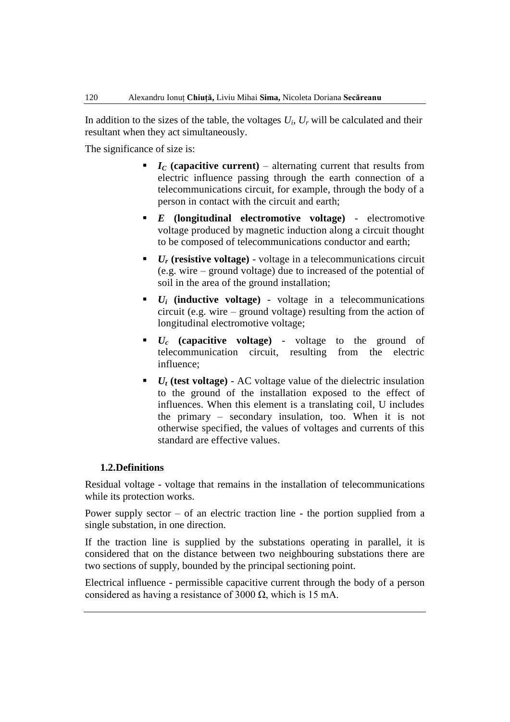In addition to the sizes of the table, the voltages  $U_i$ ,  $U_r$  will be calculated and their resultant when they act simultaneously.

The significance of size is:

- $I_c$  **(capacitive current)** alternating current that results from electric influence passing through the earth connection of a telecommunications circuit, for example, through the body of a person in contact with the circuit and earth;
- *E* **(longitudinal electromotive voltage)** electromotive voltage produced by magnetic induction along a circuit thought to be composed of telecommunications conductor and earth;
- $\blacksquare$  *U<sub>r</sub>* (resistive voltage) voltage in a telecommunications circuit (e.g. wire – ground voltage) due to increased of the potential of soil in the area of the ground installation;
- $\bullet$   $U_i$  (inductive voltage) voltage in a telecommunications circuit (e.g. wire – ground voltage) resulting from the action of longitudinal electromotive voltage;
- *U<sup>c</sup>* **(capacitive voltage)** voltage to the ground of telecommunication circuit, resulting from the electric influence;
- $U_t$  (test voltage) AC voltage value of the dielectric insulation to the ground of the installation exposed to the effect of influences. When this element is a translating coil, U includes the primary – secondary insulation, too. When it is not otherwise specified, the values of voltages and currents of this standard are effective values.

### **1.2.Definitions**

Residual voltage - voltage that remains in the installation of telecommunications while its protection works.

Power supply sector – of an electric traction line - the portion supplied from a single substation, in one direction.

If the traction line is supplied by the substations operating in parallel, it is considered that on the distance between two neighbouring substations there are two sections of supply, bounded by the principal sectioning point.

Electrical influence - permissible capacitive current through the body of a person considered as having a resistance of 3000  $\Omega$ , which is 15 mA.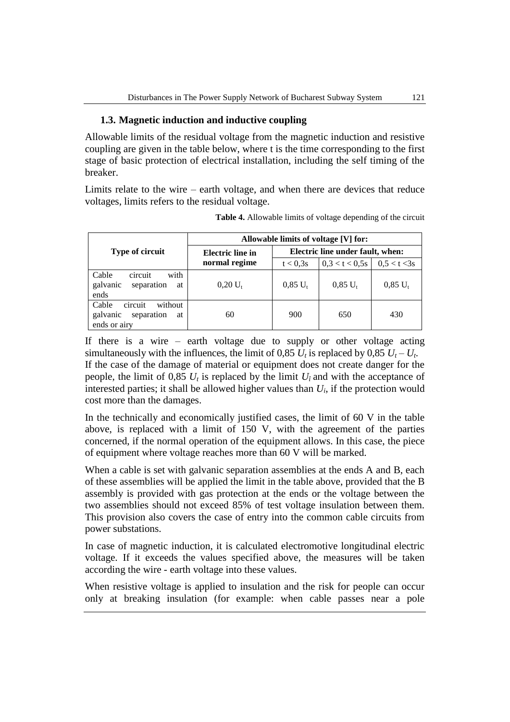## **1.3. Magnetic induction and inductive coupling**

Allowable limits of the residual voltage from the magnetic induction and resistive coupling are given in the table below, where t is the time corresponding to the first stage of basic protection of electrical installation, including the self timing of the breaker.

Limits relate to the wire – earth voltage, and when there are devices that reduce voltages, limits refers to the residual voltage.

|                                                                             | Allowable limits of voltage [V] for:     |                                  |                |              |
|-----------------------------------------------------------------------------|------------------------------------------|----------------------------------|----------------|--------------|
| <b>Type of circuit</b>                                                      | <b>Electric</b> line in<br>normal regime | Electric line under fault, when: |                |              |
|                                                                             |                                          | t < 0.3s                         | 0.3 < t < 0.5s | 0.5 < t < 3s |
| circuit<br>with<br>Cable<br>galvanic<br>separation<br>at<br>ends            | $0.20 U_{t}$                             | $0,85 U_t$                       | $0.85 U_t$     | $0.85 U_{t}$ |
| Cable<br>circuit<br>without<br>galvanic<br>separation<br>at<br>ends or airy | 60                                       | 900                              | 650            | 430          |

**Table 4.** Allowable limits of voltage depending of the circuit

If there is a wire – earth voltage due to supply or other voltage acting simultaneously with the influences, the limit of 0,85  $U_t$  is replaced by 0,85  $U_t - U_t$ . If the case of the damage of material or equipment does not create danger for the people, the limit of 0,85  $U_t$  is replaced by the limit  $U_i$  and with the acceptance of interested parties; it shall be allowed higher values than  $U_i$ , if the protection would cost more than the damages.

In the technically and economically justified cases, the limit of 60 V in the table above, is replaced with a limit of 150 V, with the agreement of the parties concerned, if the normal operation of the equipment allows. In this case, the piece of equipment where voltage reaches more than 60 V will be marked.

When a cable is set with galvanic separation assemblies at the ends A and B, each of these assemblies will be applied the limit in the table above, provided that the B assembly is provided with gas protection at the ends or the voltage between the two assemblies should not exceed 85% of test voltage insulation between them. This provision also covers the case of entry into the common cable circuits from power substations.

In case of magnetic induction, it is calculated electromotive longitudinal electric voltage. If it exceeds the values specified above, the measures will be taken according the wire - earth voltage into these values.

When resistive voltage is applied to insulation and the risk for people can occur only at breaking insulation (for example: when cable passes near a pole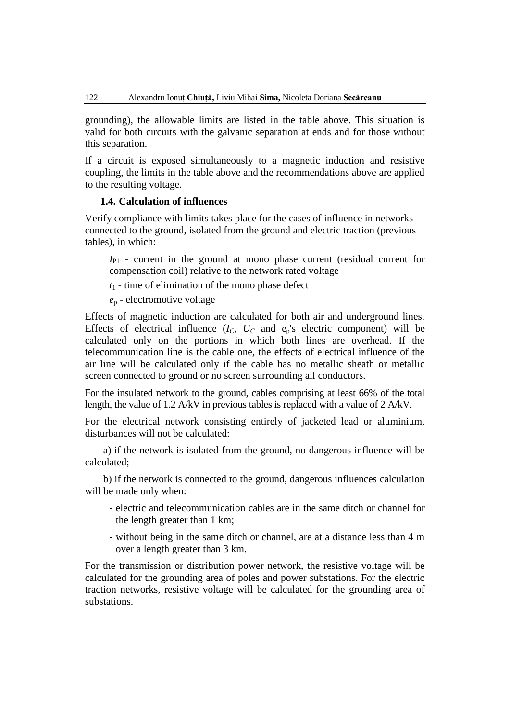grounding), the allowable limits are listed in the table above. This situation is valid for both circuits with the galvanic separation at ends and for those without this separation.

If a circuit is exposed simultaneously to a magnetic induction and resistive coupling, the limits in the table above and the recommendations above are applied to the resulting voltage.

#### **1.4. Calculation of influences**

Verify compliance with limits takes place for the cases of influence in networks connected to the ground, isolated from the ground and electric traction (previous tables), in which:

*I*<sub>P1</sub> - current in the ground at mono phase current (residual current for compensation coil) relative to the network rated voltage

- *t*<sup>1</sup> time of elimination of the mono phase defect
- *e*<sup>p</sup> electromotive voltage

Effects of magnetic induction are calculated for both air and underground lines. Effects of electrical influence  $(I_C, U_C$  and  $e_p$ 's electric component) will be calculated only on the portions in which both lines are overhead. If the telecommunication line is the cable one, the effects of electrical influence of the air line will be calculated only if the cable has no metallic sheath or metallic screen connected to ground or no screen surrounding all conductors.

For the insulated network to the ground, cables comprising at least 66% of the total length, the value of 1.2 A/kV in previous tables is replaced with a value of 2 A/kV.

For the electrical network consisting entirely of jacketed lead or aluminium, disturbances will not be calculated:

a) if the network is isolated from the ground, no dangerous influence will be calculated;

b) if the network is connected to the ground, dangerous influences calculation will be made only when:

- electric and telecommunication cables are in the same ditch or channel for the length greater than 1 km;
- without being in the same ditch or channel, are at a distance less than 4 m over a length greater than 3 km.

For the transmission or distribution power network, the resistive voltage will be calculated for the grounding area of poles and power substations. For the electric traction networks, resistive voltage will be calculated for the grounding area of substations.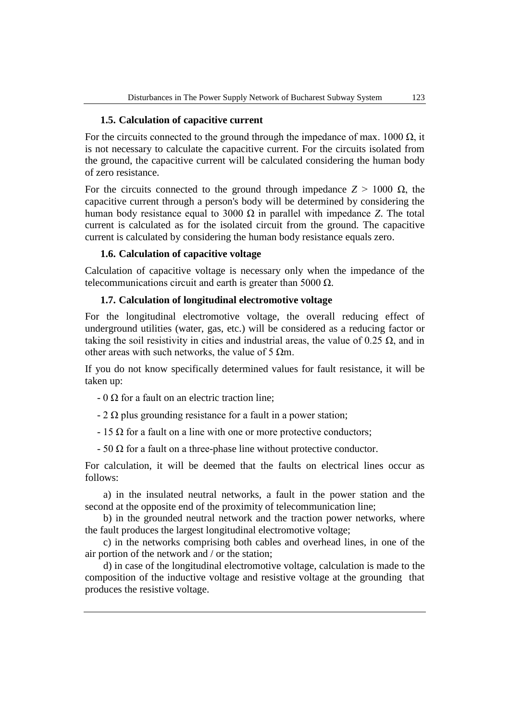### **1.5. Calculation of capacitive current**

For the circuits connected to the ground through the impedance of max. 1000  $\Omega$ , it is not necessary to calculate the capacitive current. For the circuits isolated from the ground, the capacitive current will be calculated considering the human body of zero resistance.

For the circuits connected to the ground through impedance  $Z > 1000 \Omega$ , the capacitive current through a person's body will be determined by considering the human body resistance equal to 3000 Ω in parallel with impedance *Z*. The total current is calculated as for the isolated circuit from the ground. The capacitive current is calculated by considering the human body resistance equals zero.

### **1.6. Calculation of capacitive voltage**

Calculation of capacitive voltage is necessary only when the impedance of the telecommunications circuit and earth is greater than 5000  $Ω$ .

### **1.7. Calculation of longitudinal electromotive voltage**

For the longitudinal electromotive voltage, the overall reducing effect of underground utilities (water, gas, etc.) will be considered as a reducing factor or taking the soil resistivity in cities and industrial areas, the value of 0.25  $\Omega$ , and in other areas with such networks, the value of 5  $\Omega$ m.

If you do not know specifically determined values for fault resistance, it will be taken up:

- $-0 \Omega$  for a fault on an electric traction line;
- $-2 \Omega$  plus grounding resistance for a fault in a power station;
- $-15$  Ω for a fault on a line with one or more protective conductors;
- 50 Ω for a fault on a three-phase line without protective conductor.

For calculation, it will be deemed that the faults on electrical lines occur as follows:

a) in the insulated neutral networks, a fault in the power station and the second at the opposite end of the proximity of telecommunication line;

b) in the grounded neutral network and the traction power networks, where the fault produces the largest longitudinal electromotive voltage;

c) in the networks comprising both cables and overhead lines, in one of the air portion of the network and / or the station;

d) in case of the longitudinal electromotive voltage, calculation is made to the composition of the inductive voltage and resistive voltage at the grounding that produces the resistive voltage.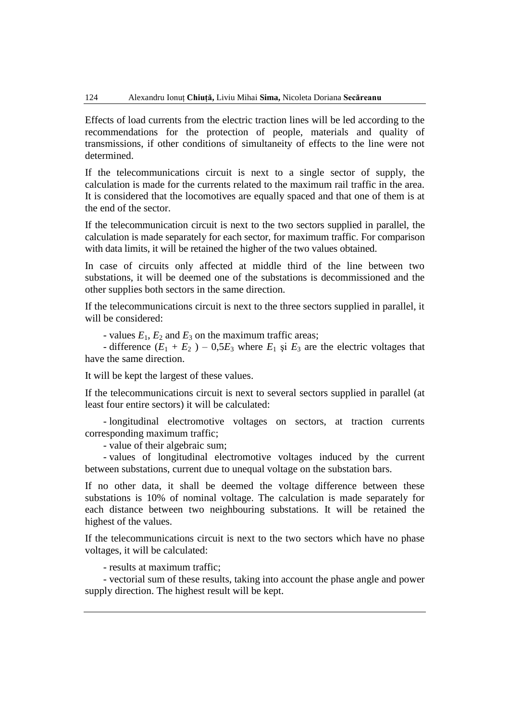Effects of load currents from the electric traction lines will be led according to the recommendations for the protection of people, materials and quality of transmissions, if other conditions of simultaneity of effects to the line were not determined.

If the telecommunications circuit is next to a single sector of supply, the calculation is made for the currents related to the maximum rail traffic in the area. It is considered that the locomotives are equally spaced and that one of them is at the end of the sector.

If the telecommunication circuit is next to the two sectors supplied in parallel, the calculation is made separately for each sector, for maximum traffic. For comparison with data limits, it will be retained the higher of the two values obtained.

In case of circuits only affected at middle third of the line between two substations, it will be deemed one of the substations is decommissioned and the other supplies both sectors in the same direction.

If the telecommunications circuit is next to the three sectors supplied in parallel, it will be considered:

- values  $E_1$ ,  $E_2$  and  $E_3$  on the maximum traffic areas;

- difference  $(E_1 + E_2)$  – 0,5 $E_3$  where  $E_1$  și  $E_3$  are the electric voltages that have the same direction.

It will be kept the largest of these values.

If the telecommunications circuit is next to several sectors supplied in parallel (at least four entire sectors) it will be calculated:

- longitudinal electromotive voltages on sectors, at traction currents corresponding maximum traffic;

- value of their algebraic sum;

- values of longitudinal electromotive voltages induced by the current between substations, current due to unequal voltage on the substation bars.

If no other data, it shall be deemed the voltage difference between these substations is 10% of nominal voltage. The calculation is made separately for each distance between two neighbouring substations. It will be retained the highest of the values.

If the telecommunications circuit is next to the two sectors which have no phase voltages, it will be calculated:

- results at maximum traffic;

- vectorial sum of these results, taking into account the phase angle and power supply direction. The highest result will be kept.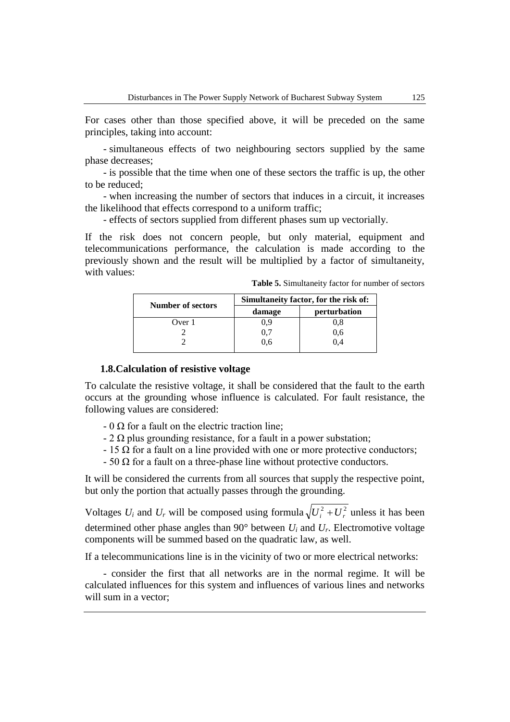For cases other than those specified above, it will be preceded on the same principles, taking into account:

- simultaneous effects of two neighbouring sectors supplied by the same phase decreases;

- is possible that the time when one of these sectors the traffic is up, the other to be reduced;

- when increasing the number of sectors that induces in a circuit, it increases the likelihood that effects correspond to a uniform traffic;

- effects of sectors supplied from different phases sum up vectorially.

If the risk does not concern people, but only material, equipment and telecommunications performance, the calculation is made according to the previously shown and the result will be multiplied by a factor of simultaneity, with values:

**Table 5.** Simultaneity factor for number of sectors

| <b>Number of sectors</b> | Simultaneity factor, for the risk of: |              |  |
|--------------------------|---------------------------------------|--------------|--|
|                          | damage                                | perturbation |  |
| Over 1                   | 0.9                                   | 0.8          |  |
|                          | 0.7                                   | U.O          |  |
|                          | ს.6                                   | 0.4          |  |
|                          |                                       |              |  |

#### **1.8.Calculation of resistive voltage**

To calculate the resistive voltage, it shall be considered that the fault to the earth occurs at the grounding whose influence is calculated. For fault resistance, the following values are considered:

- $-0 \Omega$  for a fault on the electric traction line;
- $-2 \Omega$  plus grounding resistance, for a fault in a power substation;
- $-15 \Omega$  for a fault on a line provided with one or more protective conductors;
- $-50 \Omega$  for a fault on a three-phase line without protective conductors.

It will be considered the currents from all sources that supply the respective point, but only the portion that actually passes through the grounding.

Voltages  $U_i$  and  $U_r$  will be composed using formula  $\sqrt{U_i^2 + U_r^2}$  unless it has been determined other phase angles than  $90^\circ$  between  $U_i$  and  $U_r$ . Electromotive voltage components will be summed based on the quadratic law, as well.

If a telecommunications line is in the vicinity of two or more electrical networks:

- consider the first that all networks are in the normal regime. It will be calculated influences for this system and influences of various lines and networks will sum in a vector: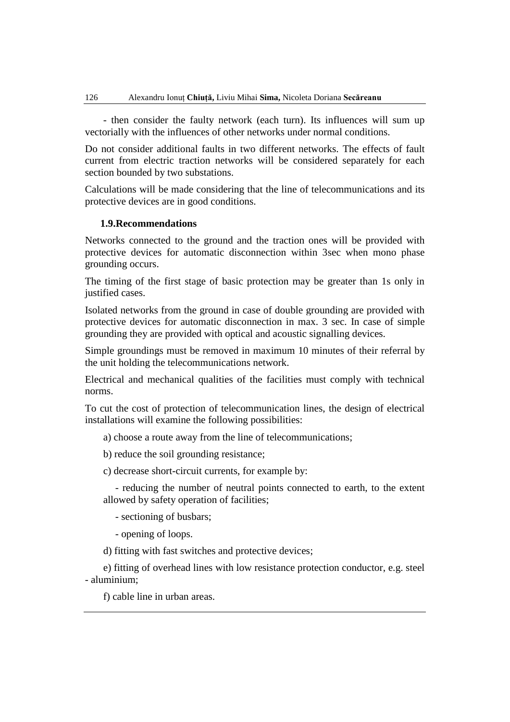- then consider the faulty network (each turn). Its influences will sum up vectorially with the influences of other networks under normal conditions.

Do not consider additional faults in two different networks. The effects of fault current from electric traction networks will be considered separately for each section bounded by two substations.

Calculations will be made considering that the line of telecommunications and its protective devices are in good conditions.

#### **1.9.Recommendations**

Networks connected to the ground and the traction ones will be provided with protective devices for automatic disconnection within 3sec when mono phase grounding occurs.

The timing of the first stage of basic protection may be greater than 1s only in justified cases.

Isolated networks from the ground in case of double grounding are provided with protective devices for automatic disconnection in max. 3 sec. In case of simple grounding they are provided with optical and acoustic signalling devices.

Simple groundings must be removed in maximum 10 minutes of their referral by the unit holding the telecommunications network.

Electrical and mechanical qualities of the facilities must comply with technical norms.

To cut the cost of protection of telecommunication lines, the design of electrical installations will examine the following possibilities:

a) choose a route away from the line of telecommunications;

b) reduce the soil grounding resistance;

c) decrease short-circuit currents, for example by:

- reducing the number of neutral points connected to earth, to the extent allowed by safety operation of facilities;

- sectioning of busbars;

- opening of loops.

d) fitting with fast switches and protective devices;

e) fitting of overhead lines with low resistance protection conductor, e.g. steel - aluminium;

f) cable line in urban areas.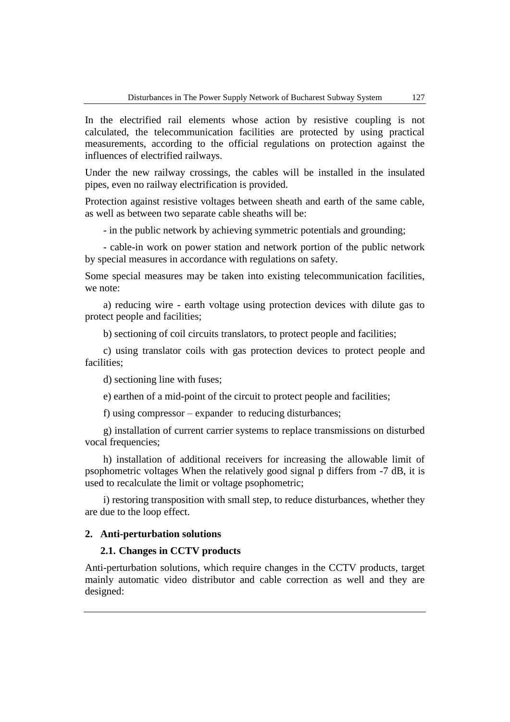In the electrified rail elements whose action by resistive coupling is not calculated, the telecommunication facilities are protected by using practical measurements, according to the official regulations on protection against the influences of electrified railways.

Under the new railway crossings, the cables will be installed in the insulated pipes, even no railway electrification is provided.

Protection against resistive voltages between sheath and earth of the same cable, as well as between two separate cable sheaths will be:

- in the public network by achieving symmetric potentials and grounding;

- cable-in work on power station and network portion of the public network by special measures in accordance with regulations on safety.

Some special measures may be taken into existing telecommunication facilities, we note:

a) reducing wire - earth voltage using protection devices with dilute gas to protect people and facilities;

b) sectioning of coil circuits translators, to protect people and facilities;

c) using translator coils with gas protection devices to protect people and facilities;

d) sectioning line with fuses;

e) earthen of a mid-point of the circuit to protect people and facilities;

f) using compressor – expander to reducing disturbances;

g) installation of current carrier systems to replace transmissions on disturbed vocal frequencies;

h) installation of additional receivers for increasing the allowable limit of psophometric voltages When the relatively good signal p differs from -7 dB, it is used to recalculate the limit or voltage psophometric;

i) restoring transposition with small step, to reduce disturbances, whether they are due to the loop effect.

### **2. Anti-perturbation solutions**

#### **2.1. Changes in CCTV products**

Anti-perturbation solutions, which require changes in the CCTV products, target mainly automatic video distributor and cable correction as well and they are designed: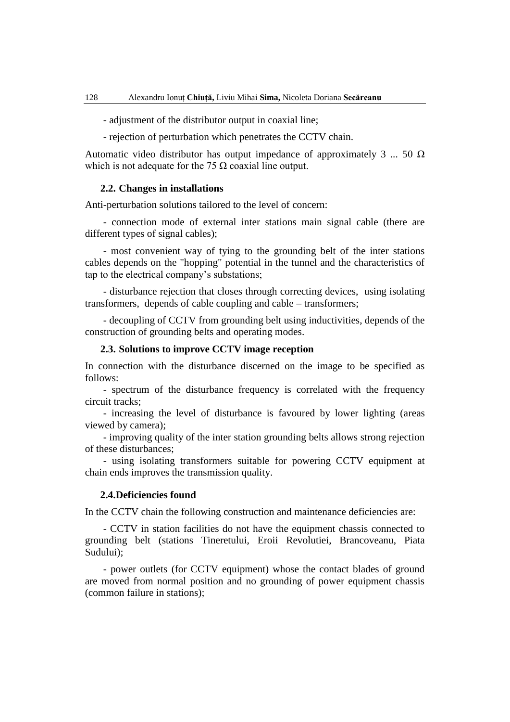- adjustment of the distributor output in coaxial line;

- rejection of perturbation which penetrates the CCTV chain.

Automatic video distributor has output impedance of approximately 3 ... 50  $\Omega$ which is not adequate for the 75  $\Omega$  coaxial line output.

#### **2.2. Changes in installations**

Anti-perturbation solutions tailored to the level of concern:

- connection mode of external inter stations main signal cable (there are different types of signal cables);

- most convenient way of tying to the grounding belt of the inter stations cables depends on the "hopping" potential in the tunnel and the characteristics of tap to the electrical company's substations;

- disturbance rejection that closes through correcting devices, using isolating transformers, depends of cable coupling and cable – transformers;

- decoupling of CCTV from grounding belt using inductivities, depends of the construction of grounding belts and operating modes.

#### **2.3. Solutions to improve CCTV image reception**

In connection with the disturbance discerned on the image to be specified as follows:

- spectrum of the disturbance frequency is correlated with the frequency circuit tracks;

- increasing the level of disturbance is favoured by lower lighting (areas viewed by camera);

- improving quality of the inter station grounding belts allows strong rejection of these disturbances;

- using isolating transformers suitable for powering CCTV equipment at chain ends improves the transmission quality.

#### **2.4.Deficiencies found**

In the CCTV chain the following construction and maintenance deficiencies are:

- CCTV in station facilities do not have the equipment chassis connected to grounding belt (stations Tineretului, Eroii Revolutiei, Brancoveanu, Piata Sudului);

- power outlets (for CCTV equipment) whose the contact blades of ground are moved from normal position and no grounding of power equipment chassis (common failure in stations);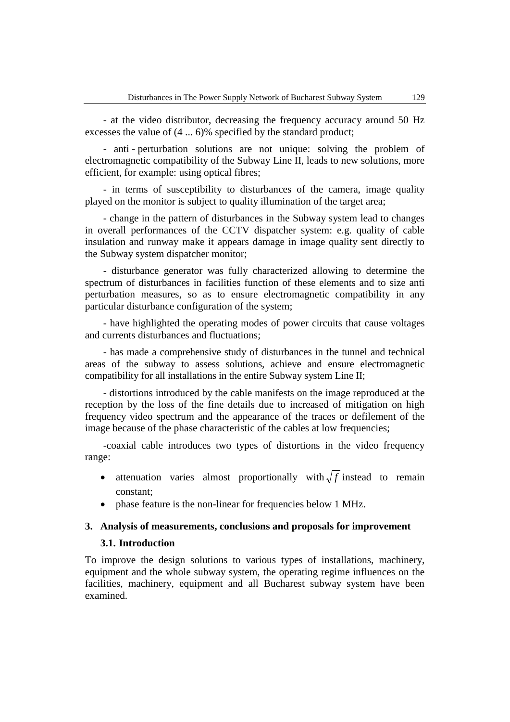- at the video distributor, decreasing the frequency accuracy around 50 Hz excesses the value of (4 ... 6)% specified by the standard product;

- anti - perturbation solutions are not unique: solving the problem of electromagnetic compatibility of the Subway Line II, leads to new solutions, more efficient, for example: using optical fibres;

- in terms of susceptibility to disturbances of the camera, image quality played on the monitor is subject to quality illumination of the target area;

- change in the pattern of disturbances in the Subway system lead to changes in overall performances of the CCTV dispatcher system: e.g. quality of cable insulation and runway make it appears damage in image quality sent directly to the Subway system dispatcher monitor;

- disturbance generator was fully characterized allowing to determine the spectrum of disturbances in facilities function of these elements and to size anti perturbation measures, so as to ensure electromagnetic compatibility in any particular disturbance configuration of the system;

- have highlighted the operating modes of power circuits that cause voltages and currents disturbances and fluctuations;

- has made a comprehensive study of disturbances in the tunnel and technical areas of the subway to assess solutions, achieve and ensure electromagnetic compatibility for all installations in the entire Subway system Line II;

- distortions introduced by the cable manifests on the image reproduced at the reception by the loss of the fine details due to increased of mitigation on high frequency video spectrum and the appearance of the traces or defilement of the image because of the phase characteristic of the cables at low frequencies;

-coaxial cable introduces two types of distortions in the video frequency range:

- attenuation varies almost proportionally with  $\sqrt{f}$  instead to remain constant;
- phase feature is the non-linear for frequencies below 1 MHz.

#### **3. Analysis of measurements, conclusions and proposals for improvement**

### **3.1. Introduction**

To improve the design solutions to various types of installations, machinery, equipment and the whole subway system, the operating regime influences on the facilities, machinery, equipment and all Bucharest subway system have been examined.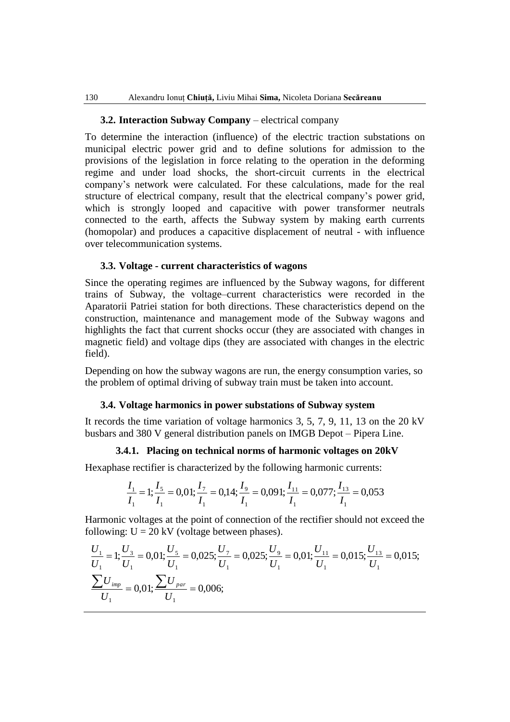### **3.2. Interaction Subway Company** – electrical company

To determine the interaction (influence) of the electric traction substations on municipal electric power grid and to define solutions for admission to the provisions of the legislation in force relating to the operation in the deforming regime and under load shocks, the short-circuit currents in the electrical company's network were calculated. For these calculations, made for the real structure of electrical company, result that the electrical company's power grid, which is strongly looped and capacitive with power transformer neutrals connected to the earth, affects the Subway system by making earth currents (homopolar) and produces a capacitive displacement of neutral - with influence over telecommunication systems.

#### **3.3. Voltage - current characteristics of wagons**

Since the operating regimes are influenced by the Subway wagons, for different trains of Subway, the voltage–current characteristics were recorded in the Aparatorii Patriei station for both directions. These characteristics depend on the construction, maintenance and management mode of the Subway wagons and highlights the fact that current shocks occur (they are associated with changes in magnetic field) and voltage dips (they are associated with changes in the electric field).

Depending on how the subway wagons are run, the energy consumption varies, so the problem of optimal driving of subway train must be taken into account.

#### **3.4. Voltage harmonics in power substations of Subway system**

It records the time variation of voltage harmonics 3, 5, 7, 9, 11, 13 on the 20 kV busbars and 380 V general distribution panels on IMGB Depot – Pipera Line.

### **3.4.1. Placing on technical norms of harmonic voltages on 20kV**

Hexaphase rectifier is characterized by the following harmonic currents:

$$
\frac{I_1}{I_1} = 1; \frac{I_5}{I_1} = 0.01; \frac{I_7}{I_1} = 0.14; \frac{I_9}{I_1} = 0.091; \frac{I_{11}}{I_1} = 0.077; \frac{I_{13}}{I_1} = 0.053
$$

Harmonic voltages at the point of connection of the rectifier should not exceed the following:  $U = 20$  kV (voltage between phases).

allowing: U = 20 kV (voltage between phases).  
\n
$$
\frac{U_1}{U_1} = 1; \frac{U_3}{U_1} = 0,01; \frac{U_5}{U_1} = 0,025; \frac{U_7}{U_1} = 0,025; \frac{U_9}{U_1} = 0,01; \frac{U_{11}}{U_1} = 0,015; \frac{U_{13}}{U_1} = 0,015; \frac{\sum U_{imp}}{U_1} = 0,01; \frac{\sum U_{par}}{U_1} = 0,006;
$$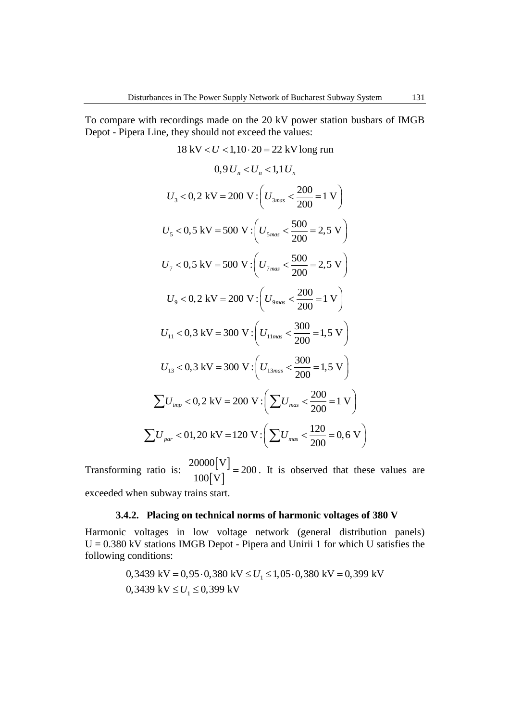To compare with recordings made on the 20 kV power station busbars of IMGB Depot - Pipera Line, they should not exceed the values:

18 kV < U < 1,10 \cdot 20 = 22 kV long run  
\n0,9 U<sub>n</sub> < U<sub>n</sub> < 1,1 U<sub>n</sub>  
\nU<sub>3</sub> < 0,2 kV = 200 V : 
$$
(U_{3max} < \frac{200}{200} = 1 V)
$$
  
\nU<sub>5</sub> < 0,5 kV = 500 V :  $(U_{5max} < \frac{500}{200} = 2,5 V)$   
\nU<sub>7</sub> < 0,5 kV = 500 V :  $(U_{7max} < \frac{500}{200} = 2,5 V)$   
\nU<sub>9</sub> < 0,2 kV = 200 V :  $(U_{9max} < \frac{200}{200} = 1 V)$   
\nU<sub>11</sub> < 0,3 kV = 300 V :  $(U_{11max} < \frac{300}{200} = 1,5 V)$   
\nU<sub>13</sub> < 0,3 kV = 300 V :  $(U_{13max} < \frac{300}{200} = 1,5 V)$   
\n $\sum U_{imp} < 0,2 kV = 200 V : (U_{13max} < \frac{300}{200} = 1,5 V)$   
\n $\sum U_{imp} < 0,2 kV = 200 V : (\sum U_{max} < \frac{200}{200} = 1 V)$ 

Transforming ratio is:  $\frac{20000|V|}{100|V|}$  $|V|$ 20000 V  $\frac{20000}{100} \left[ \frac{v}{v} \right] = 200$ . It is observed that these values are exceeded when subway trains start.

### **3.4.2. Placing on technical norms of harmonic voltages of 380 V**

Harmonic voltages in low voltage network (general distribution panels) U = 0.380 kV stations IMGB Depot - Pipera and Unirii 1 for which U satisfies the following conditions:<br>0,3439 kV = 0,95 · 0,380 kV  $\leq U_1 \leq 1,05$  · 0,380 kV = 0,399 kV following conditions:

0,3439 kV = 0,95.0,380 kV 
$$
\leq U_1 \leq 1,05.0,380
$$
 kV = 0,399 kV  
0,3439 kV  $\leq U_1 \leq 0,399$  kV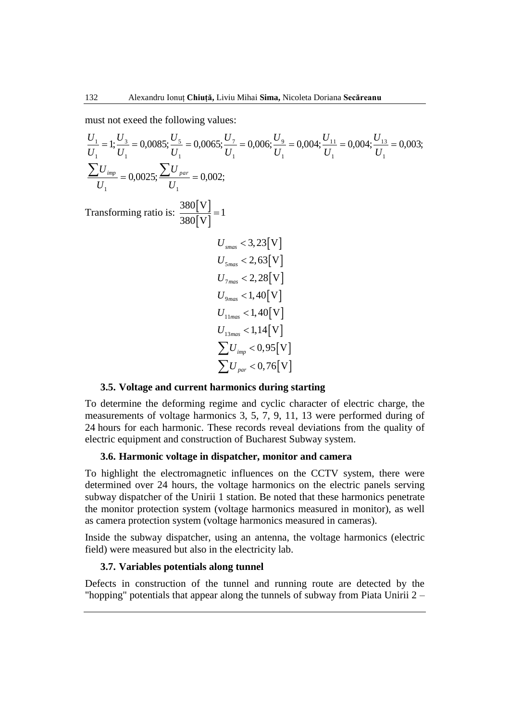must not exeed the following values:

must not exceed the following values:  
\n
$$
\frac{U_1}{U_1} = 1; \frac{U_3}{U_1} = 0,0085; \frac{U_5}{U_1} = 0,0065; \frac{U_7}{U_1} = 0,006; \frac{U_9}{U_1} = 0,004; \frac{U_{11}}{U_1} = 0,004; \frac{U_{13}}{U_1} = 0,003;
$$
\n
$$
\frac{\sum U_{imp}}{U_1} = 0,0025; \frac{\sum U_{par}}{U_1} = 0,002;
$$
\nTransforming ratio is:  $\frac{380[V]}{380[V]} = 1$   
\n $U_{smas} < 3,23[V]$   
\n $U_{smas} < 2,63[V]$   
\n $U_{7max} < 2,28[V]$   
\n $U_{7max} < 2,28[V]$   
\n $U_{1max} < 1,40[V]$   
\n $U_{1max} < 1,40[V]$   
\n $U_{1max} < 1,14[V]$   
\n $\sum U_{pm} < 0,95[V]$   
\n $\sum U_{par} < 0,76[V]$ 

#### **3.5. Voltage and current harmonics during starting**

To determine the deforming regime and cyclic character of electric charge, the measurements of voltage harmonics 3, 5, 7, 9, 11, 13 were performed during of 24 hours for each harmonic. These records reveal deviations from the quality of electric equipment and construction of Bucharest Subway system.

#### **3.6. Harmonic voltage in dispatcher, monitor and camera**

To highlight the electromagnetic influences on the CCTV system, there were determined over 24 hours, the voltage harmonics on the electric panels serving subway dispatcher of the Unirii 1 station. Be noted that these harmonics penetrate the monitor protection system (voltage harmonics measured in monitor), as well as camera protection system (voltage harmonics measured in cameras).

Inside the subway dispatcher, using an antenna, the voltage harmonics (electric field) were measured but also in the electricity lab.

#### **3.7. Variables potentials along tunnel**

Defects in construction of the tunnel and running route are detected by the "hopping" potentials that appear along the tunnels of subway from Piata Unirii 2 –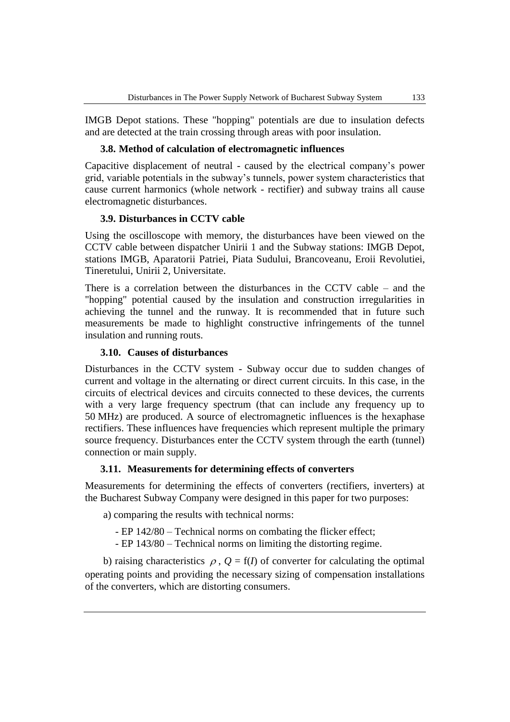IMGB Depot stations. These "hopping" potentials are due to insulation defects and are detected at the train crossing through areas with poor insulation.

### **3.8. Method of calculation of electromagnetic influences**

Capacitive displacement of neutral - caused by the electrical company's power grid, variable potentials in the subway's tunnels, power system characteristics that cause current harmonics (whole network - rectifier) and subway trains all cause electromagnetic disturbances.

### **3.9. Disturbances in CCTV cable**

Using the oscilloscope with memory, the disturbances have been viewed on the CCTV cable between dispatcher Unirii 1 and the Subway stations: IMGB Depot, stations IMGB, Aparatorii Patriei, Piata Sudului, Brancoveanu, Eroii Revolutiei, Tineretului, Unirii 2, Universitate.

There is a correlation between the disturbances in the CCTV cable – and the "hopping" potential caused by the insulation and construction irregularities in achieving the tunnel and the runway. It is recommended that in future such measurements be made to highlight constructive infringements of the tunnel insulation and running routs.

### **3.10. Causes of disturbances**

Disturbances in the CCTV system - Subway occur due to sudden changes of current and voltage in the alternating or direct current circuits. In this case, in the circuits of electrical devices and circuits connected to these devices, the currents with a very large frequency spectrum (that can include any frequency up to 50 MHz) are produced. A source of electromagnetic influences is the hexaphase rectifiers. These influences have frequencies which represent multiple the primary source frequency. Disturbances enter the CCTV system through the earth (tunnel) connection or main supply.

### **3.11. Measurements for determining effects of converters**

Measurements for determining the effects of converters (rectifiers, inverters) at the Bucharest Subway Company were designed in this paper for two purposes:

a) comparing the results with technical norms:

- EP 142/80 Technical norms on combating the flicker effect;
- EP 143/80 Technical norms on limiting the distorting regime.

b) raising characteristics  $\rho$ ,  $Q = f(I)$  of converter for calculating the optimal operating points and providing the necessary sizing of compensation installations of the converters, which are distorting consumers.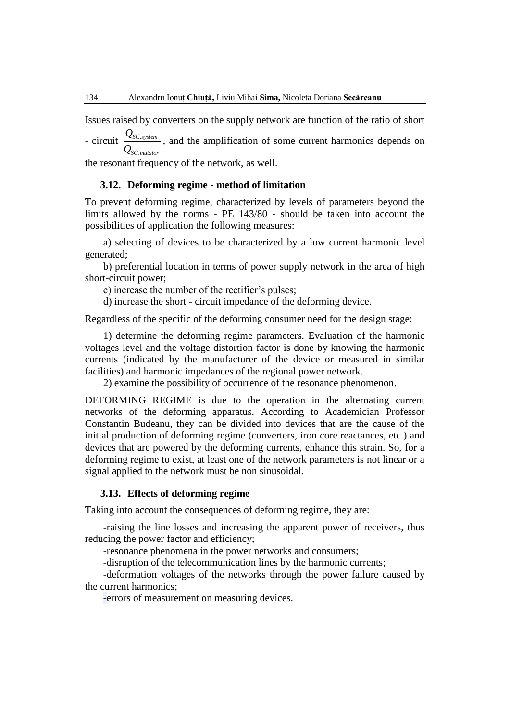Issues raised by converters on the supply network are function of the ratio of short

- circuit  $\frac{\mathcal{L}_{SC}}{2}$ . *SC system SC mutator Q Q* , and the amplification of some current harmonics depends on

the resonant frequency of the network, as well.

### **3.12. Deforming regime - method of limitation**

To prevent deforming regime, characterized by levels of parameters beyond the limits allowed by the norms - PE 143/80 - should be taken into account the possibilities of application the following measures:

a) selecting of devices to be characterized by a low current harmonic level generated;

b) preferential location in terms of power supply network in the area of high short-circuit power;

c) increase the number of the rectifier's pulses;

d) increase the short - circuit impedance of the deforming device.

Regardless of the specific of the deforming consumer need for the design stage:

1) determine the deforming regime parameters. Evaluation of the harmonic voltages level and the voltage distortion factor is done by knowing the harmonic currents (indicated by the manufacturer of the device or measured in similar facilities) and harmonic impedances of the regional power network.

2) examine the possibility of occurrence of the resonance phenomenon.

DEFORMING REGIME is due to the operation in the alternating current networks of the deforming apparatus. According to Academician Professor Constantin Budeanu, they can be divided into devices that are the cause of the initial production of deforming regime (converters, iron core reactances, etc.) and devices that are powered by the deforming currents, enhance this strain. So, for a deforming regime to exist, at least one of the network parameters is not linear or a signal applied to the network must be non sinusoidal.

### **3.13. Effects of deforming regime**

Taking into account the consequences of deforming regime, they are:

-raising the line losses and increasing the apparent power of receivers, thus reducing the power factor and efficiency;

-resonance phenomena in the power networks and consumers;

-disruption of the telecommunication lines by the harmonic currents;

-deformation voltages of the networks through the power failure caused by the current harmonics;

-errors of measurement on measuring devices.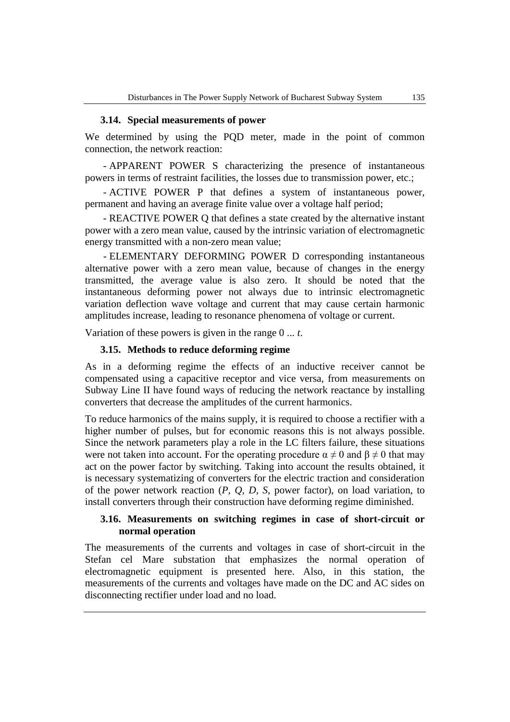### **3.14. Special measurements of power**

We determined by using the PQD meter, made in the point of common connection, the network reaction:

- APPARENT POWER S characterizing the presence of instantaneous powers in terms of restraint facilities, the losses due to transmission power, etc.;

- ACTIVE POWER P that defines a system of instantaneous power, permanent and having an average finite value over a voltage half period;

- REACTIVE POWER Q that defines a state created by the alternative instant power with a zero mean value, caused by the intrinsic variation of electromagnetic energy transmitted with a non-zero mean value;

- ELEMENTARY DEFORMING POWER D corresponding instantaneous alternative power with a zero mean value, because of changes in the energy transmitted, the average value is also zero. It should be noted that the instantaneous deforming power not always due to intrinsic electromagnetic variation deflection wave voltage and current that may cause certain harmonic amplitudes increase, leading to resonance phenomena of voltage or current.

Variation of these powers is given in the range 0 ... *t*.

#### **3.15. Methods to reduce deforming regime**

As in a deforming regime the effects of an inductive receiver cannot be compensated using a capacitive receptor and vice versa, from measurements on Subway Line II have found ways of reducing the network reactance by installing converters that decrease the amplitudes of the current harmonics.

To reduce harmonics of the mains supply, it is required to choose a rectifier with a higher number of pulses, but for economic reasons this is not always possible. Since the network parameters play a role in the LC filters failure, these situations were not taken into account. For the operating procedure  $\alpha \neq 0$  and  $\beta \neq 0$  that may act on the power factor by switching. Taking into account the results obtained, it is necessary systematizing of converters for the electric traction and consideration of the power network reaction (*P, Q, D, S*, power factor), on load variation, to install converters through their construction have deforming regime diminished.

### **3.16. Measurements on switching regimes in case of short-circuit or normal operation**

The measurements of the currents and voltages in case of short-circuit in the Stefan cel Mare substation that emphasizes the normal operation of electromagnetic equipment is presented here. Also, in this station, the measurements of the currents and voltages have made on the DC and AC sides on disconnecting rectifier under load and no load.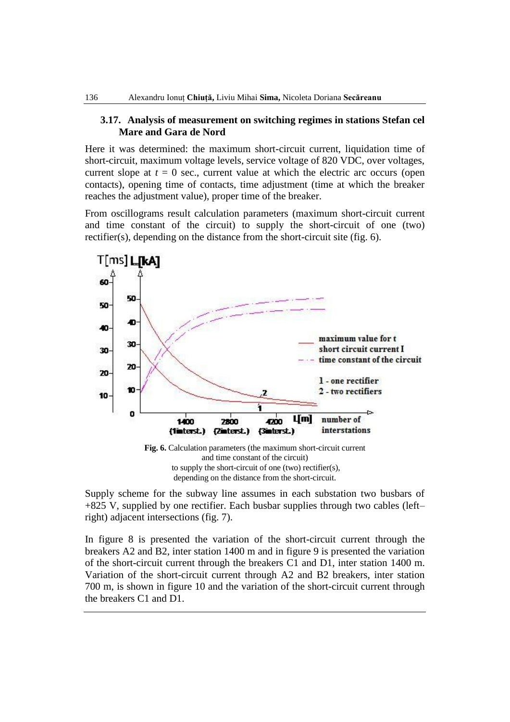### **3.17. Analysis of measurement on switching regimes in stations Stefan cel Mare and Gara de Nord**

Here it was determined: the maximum short-circuit current, liquidation time of short-circuit, maximum voltage levels, service voltage of 820 VDC, over voltages, current slope at  $t = 0$  sec., current value at which the electric arc occurs (open contacts), opening time of contacts, time adjustment (time at which the breaker reaches the adjustment value), proper time of the breaker.

From oscillograms result calculation parameters (maximum short-circuit current and time constant of the circuit) to supply the short-circuit of one (two) rectifier(s), depending on the distance from the short-circuit site (fig. 6).



depending on the distance from the short-circuit.

Supply scheme for the subway line assumes in each substation two busbars of +825 V, supplied by one rectifier. Each busbar supplies through two cables (left– right) adjacent intersections (fig. 7).

In figure 8 is presented the variation of the short-circuit current through the breakers A2 and B2, inter station 1400 m and in figure 9 is presented the variation of the short-circuit current through the breakers C1 and D1, inter station 1400 m. Variation of the short-circuit current through A2 and B2 breakers, inter station 700 m, is shown in figure 10 and the variation of the short-circuit current through the breakers C1 and D1.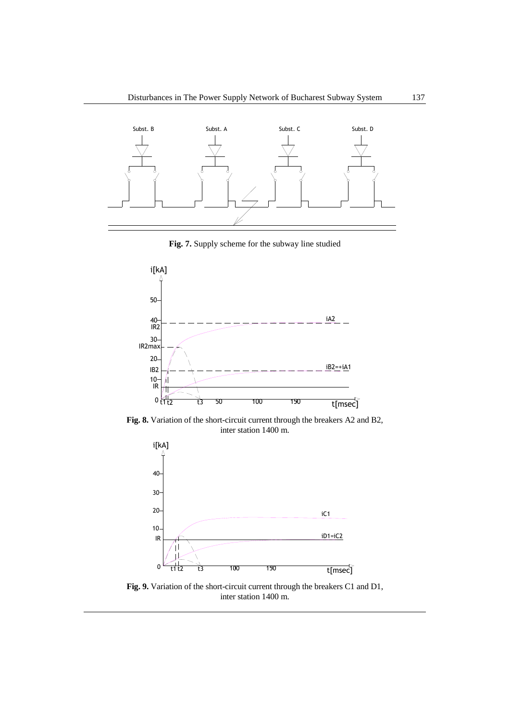

**Fig. 7.** Supply scheme for the subway line studied



**Fig. 8.** Variation of the short-circuit current through the breakers A2 and B2, inter station 1400 m.



**Fig. 9.** Variation of the short-circuit current through the breakers C1 and D1, inter station 1400 m.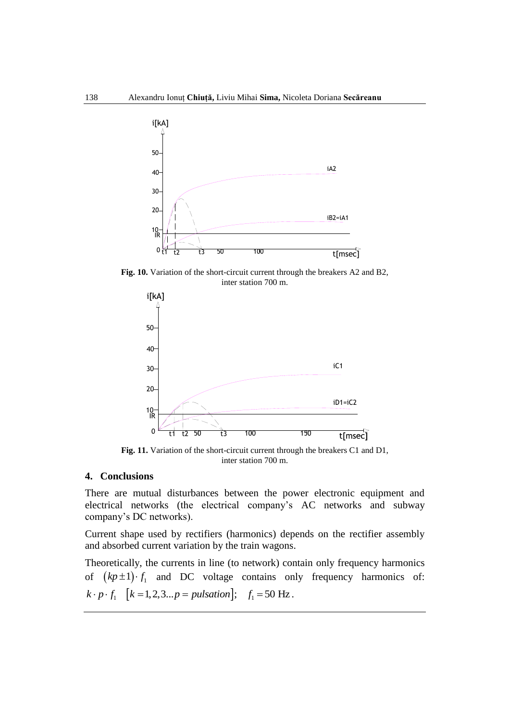

**Fig. 10.** Variation of the short-circuit current through the breakers A2 and B2, inter station 700 m.



**Fig. 11.** Variation of the short-circuit current through the breakers C1 and D1, inter station 700 m.

#### **4. Conclusions**

There are mutual disturbances between the power electronic equipment and electrical networks (the electrical company's AC networks and subway company's DC networks).

Current shape used by rectifiers (harmonics) depends on the rectifier assembly and absorbed current variation by the train wagons.

Theoretically, the currents in line (to network) contain only frequency harmonics of  $(kp \pm 1) \cdot f_1$  and DC voltage contains only frequency harmonics of: of  $(kp \pm 1) \cdot f_1$  and DC voltage contains on<br>  $k \cdot p \cdot f_1$   $[k = 1, 2, 3...p = pulsation]$ ;  $f_1 = 50$  Hz.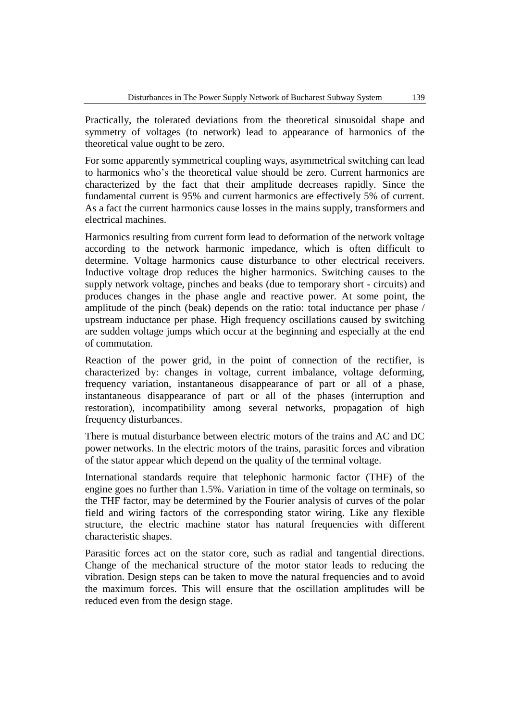Practically, the tolerated deviations from the theoretical sinusoidal shape and symmetry of voltages (to network) lead to appearance of harmonics of the theoretical value ought to be zero.

For some apparently symmetrical coupling ways, asymmetrical switching can lead to harmonics who's the theoretical value should be zero. Current harmonics are characterized by the fact that their amplitude decreases rapidly. Since the fundamental current is 95% and current harmonics are effectively 5% of current. As a fact the current harmonics cause losses in the mains supply, transformers and electrical machines.

Harmonics resulting from current form lead to deformation of the network voltage according to the network harmonic impedance, which is often difficult to determine. Voltage harmonics cause disturbance to other electrical receivers. Inductive voltage drop reduces the higher harmonics. Switching causes to the supply network voltage, pinches and beaks (due to temporary short - circuits) and produces changes in the phase angle and reactive power. At some point, the amplitude of the pinch (beak) depends on the ratio: total inductance per phase / upstream inductance per phase. High frequency oscillations caused by switching are sudden voltage jumps which occur at the beginning and especially at the end of commutation.

Reaction of the power grid, in the point of connection of the rectifier, is characterized by: changes in voltage, current imbalance, voltage deforming, frequency variation, instantaneous disappearance of part or all of a phase, instantaneous disappearance of part or all of the phases (interruption and restoration), incompatibility among several networks, propagation of high frequency disturbances.

There is mutual disturbance between electric motors of the trains and AC and DC power networks. In the electric motors of the trains, parasitic forces and vibration of the stator appear which depend on the quality of the terminal voltage.

International standards require that telephonic harmonic factor (THF) of the engine goes no further than 1.5%. Variation in time of the voltage on terminals, so the THF factor, may be determined by the Fourier analysis of curves of the polar field and wiring factors of the corresponding stator wiring. Like any flexible structure, the electric machine stator has natural frequencies with different characteristic shapes.

Parasitic forces act on the stator core, such as radial and tangential directions. Change of the mechanical structure of the motor stator leads to reducing the vibration. Design steps can be taken to move the natural frequencies and to avoid the maximum forces. This will ensure that the oscillation amplitudes will be reduced even from the design stage.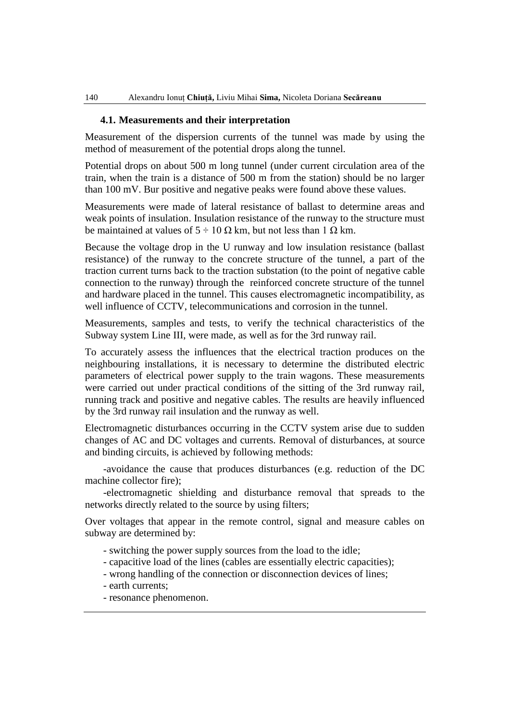### **4.1. Measurements and their interpretation**

Measurement of the dispersion currents of the tunnel was made by using the method of measurement of the potential drops along the tunnel.

Potential drops on about 500 m long tunnel (under current circulation area of the train, when the train is a distance of 500 m from the station) should be no larger than 100 mV. Bur positive and negative peaks were found above these values.

Measurements were made of lateral resistance of ballast to determine areas and weak points of insulation. Insulation resistance of the runway to the structure must be maintained at values of  $5 \div 10 \Omega$  km, but not less than 1  $\Omega$  km.

Because the voltage drop in the U runway and low insulation resistance (ballast resistance) of the runway to the concrete structure of the tunnel, a part of the traction current turns back to the traction substation (to the point of negative cable connection to the runway) through the reinforced concrete structure of the tunnel and hardware placed in the tunnel. This causes electromagnetic incompatibility, as well influence of CCTV, telecommunications and corrosion in the tunnel.

Measurements, samples and tests, to verify the technical characteristics of the Subway system Line III, were made, as well as for the 3rd runway rail.

To accurately assess the influences that the electrical traction produces on the neighbouring installations, it is necessary to determine the distributed electric parameters of electrical power supply to the train wagons. These measurements were carried out under practical conditions of the sitting of the 3rd runway rail, running track and positive and negative cables. The results are heavily influenced by the 3rd runway rail insulation and the runway as well.

Electromagnetic disturbances occurring in the CCTV system arise due to sudden changes of AC and DC voltages and currents. Removal of disturbances, at source and binding circuits, is achieved by following methods:

-avoidance the cause that produces disturbances (e.g. reduction of the DC machine collector fire);

-electromagnetic shielding and disturbance removal that spreads to the networks directly related to the source by using filters;

Over voltages that appear in the remote control, signal and measure cables on subway are determined by:

- switching the power supply sources from the load to the idle;
- capacitive load of the lines (cables are essentially electric capacities);
- wrong handling of the connection or disconnection devices of lines;
- earth currents;
- resonance phenomenon.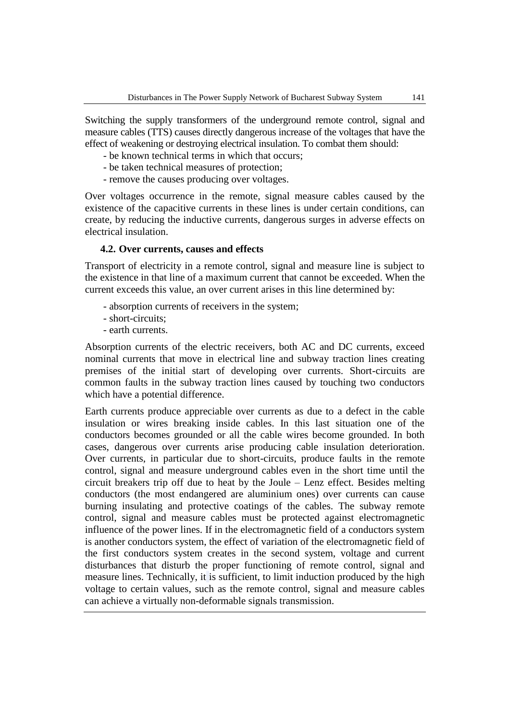Switching the supply transformers of the underground remote control, signal and measure cables (TTS) causes directly dangerous increase of the voltages that have the effect of weakening or destroying electrical insulation. To combat them should:

- be known technical terms in which that occurs;
- be taken technical measures of protection;
- remove the causes producing over voltages.

Over voltages occurrence in the remote, signal measure cables caused by the existence of the capacitive currents in these lines is under certain conditions, can create, by reducing the inductive currents, dangerous surges in adverse effects on electrical insulation.

### **4.2. Over currents, causes and effects**

Transport of electricity in a remote control, signal and measure line is subject to the existence in that line of a maximum current that cannot be exceeded. When the current exceeds this value, an over current arises in this line determined by:

- absorption currents of receivers in the system;
- short-circuits;
- earth currents.

Absorption currents of the electric receivers, both AC and DC currents, exceed nominal currents that move in electrical line and subway traction lines creating premises of the initial start of developing over currents. Short-circuits are common faults in the subway traction lines caused by touching two conductors which have a potential difference.

Earth currents produce appreciable over currents as due to a defect in the cable insulation or wires breaking inside cables. In this last situation one of the conductors becomes grounded or all the cable wires become grounded. In both cases, dangerous over currents arise producing cable insulation deterioration. Over currents, in particular due to short-circuits, produce faults in the remote control, signal and measure underground cables even in the short time until the circuit breakers trip off due to heat by the Joule – Lenz effect. Besides melting conductors (the most endangered are aluminium ones) over currents can cause burning insulating and protective coatings of the cables. The subway remote control, signal and measure cables must be protected against electromagnetic influence of the power lines. If in the electromagnetic field of a conductors system is another conductors system, the effect of variation of the electromagnetic field of the first conductors system creates in the second system, voltage and current disturbances that disturb the proper functioning of remote control, signal and measure lines. Technically, it is sufficient, to limit induction produced by the high voltage to certain values, such as the remote control, signal and measure cables can achieve a virtually non-deformable signals transmission.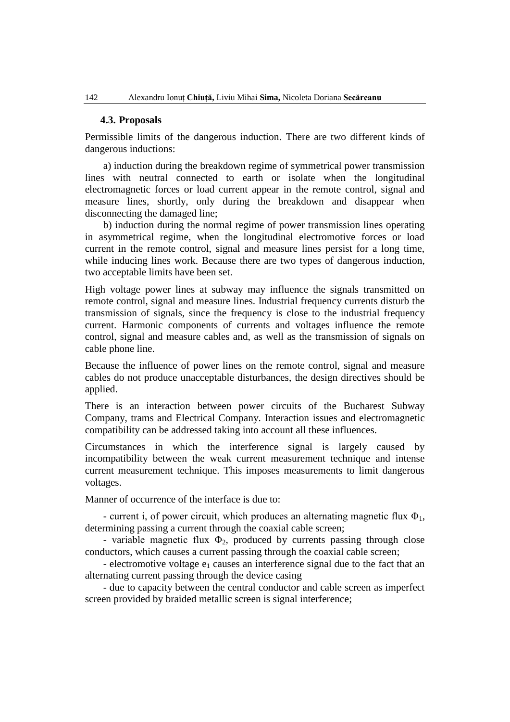#### **4.3. Proposals**

Permissible limits of the dangerous induction. There are two different kinds of dangerous inductions:

a) induction during the breakdown regime of symmetrical power transmission lines with neutral connected to earth or isolate when the longitudinal electromagnetic forces or load current appear in the remote control, signal and measure lines, shortly, only during the breakdown and disappear when disconnecting the damaged line;

b) induction during the normal regime of power transmission lines operating in asymmetrical regime, when the longitudinal electromotive forces or load current in the remote control, signal and measure lines persist for a long time, while inducing lines work. Because there are two types of dangerous induction, two acceptable limits have been set.

High voltage power lines at subway may influence the signals transmitted on remote control, signal and measure lines. Industrial frequency currents disturb the transmission of signals, since the frequency is close to the industrial frequency current. Harmonic components of currents and voltages influence the remote control, signal and measure cables and, as well as the transmission of signals on cable phone line.

Because the influence of power lines on the remote control, signal and measure cables do not produce unacceptable disturbances, the design directives should be applied.

There is an interaction between power circuits of the Bucharest Subway Company, trams and Electrical Company. Interaction issues and electromagnetic compatibility can be addressed taking into account all these influences.

Circumstances in which the interference signal is largely caused by incompatibility between the weak current measurement technique and intense current measurement technique. This imposes measurements to limit dangerous voltages.

Manner of occurrence of the interface is due to:

- current i, of power circuit, which produces an alternating magnetic flux  $\Phi_1$ , determining passing a current through the coaxial cable screen;

- variable magnetic flux  $\Phi_2$ , produced by currents passing through close conductors, which causes a current passing through the coaxial cable screen;

- electromotive voltage  $e_1$  causes an interference signal due to the fact that an alternating current passing through the device casing

- due to capacity between the central conductor and cable screen as imperfect screen provided by braided metallic screen is signal interference;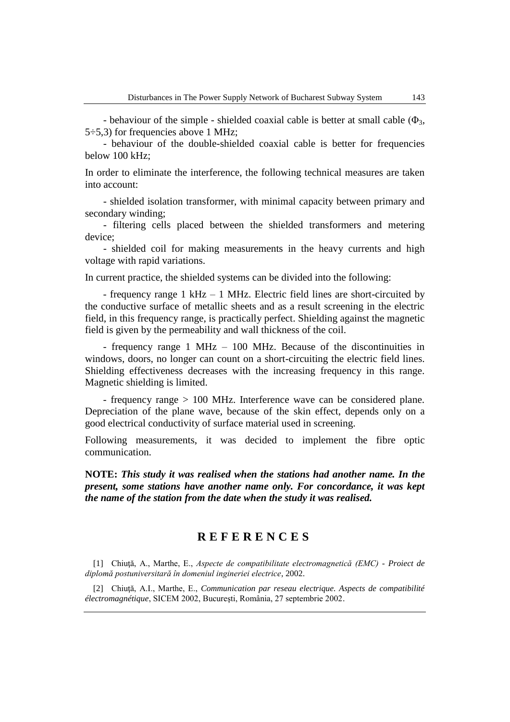- behaviour of the simple - shielded coaxial cable is better at small cable  $(\Phi_3, \Phi_1)$  $5\div 5.3$ ) for frequencies above 1 MHz;

- behaviour of the double-shielded coaxial cable is better for frequencies below 100 kHz;

In order to eliminate the interference, the following technical measures are taken into account:

- shielded isolation transformer, with minimal capacity between primary and secondary winding;

- filtering cells placed between the shielded transformers and metering device;

- shielded coil for making measurements in the heavy currents and high voltage with rapid variations.

In current practice, the shielded systems can be divided into the following:

- frequency range 1 kHz – 1 MHz. Electric field lines are short-circuited by the conductive surface of metallic sheets and as a result screening in the electric field, in this frequency range, is practically perfect. Shielding against the magnetic field is given by the permeability and wall thickness of the coil.

- frequency range 1 MHz – 100 MHz. Because of the discontinuities in windows, doors, no longer can count on a short-circuiting the electric field lines. Shielding effectiveness decreases with the increasing frequency in this range. Magnetic shielding is limited.

- frequency range > 100 MHz. Interference wave can be considered plane. Depreciation of the plane wave, because of the skin effect, depends only on a good electrical conductivity of surface material used in screening.

Following measurements, it was decided to implement the fibre optic communication.

**NOTE:** *This study it was realised when the stations had another name. In the present, some stations have another name only. For concordance, it was kept the name of the station from the date when the study it was realised.*

# **R E F E R E N C E S**

[1] Chiuţă, A., Marthe, E., *Aspecte de compatibilitate electromagnetică (EMC) - Proiect de diplomă postuniversitară în domeniul ingineriei electrice*, 2002.

[2] Chiuţă, A.I., Marthe, E., *Communication par reseau electrique. Aspects de compatibilité électromagnétique*, SICEM 2002, Bucureşti, România, 27 septembrie 2002.